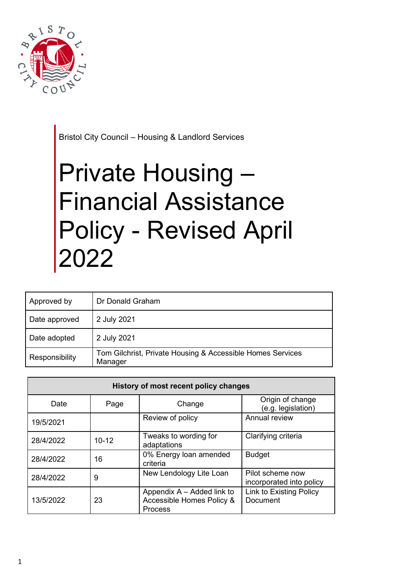

Bristol City Council – Housing & Landlord Services

# Private Housing – Financial Assistance Policy - Revised April 2022

| Approved by    | Dr Donald Graham                                                      |
|----------------|-----------------------------------------------------------------------|
| Date approved  | 2 July 2021                                                           |
| Date adopted   | 2 July 2021                                                           |
| Responsibility | Tom Gilchrist, Private Housing & Accessible Homes Services<br>Manager |

| History of most recent policy changes |           |                                                                    |                                              |
|---------------------------------------|-----------|--------------------------------------------------------------------|----------------------------------------------|
| Date                                  | Page      | Change                                                             | Origin of change<br>(e.g. legislation)       |
| 19/5/2021                             |           | Review of policy                                                   | Annual review                                |
| 28/4/2022                             | $10 - 12$ | Tweaks to wording for<br>adaptations                               | Clarifying criteria                          |
| 28/4/2022                             | 16        | 0% Energy loan amended<br>criteria                                 | <b>Budget</b>                                |
| 28/4/2022                             | 9         | New Lendology Lite Loan                                            | Pilot scheme now<br>incorporated into policy |
| 13/5/2022                             | 23        | Appendix A – Added link to<br>Accessible Homes Policy &<br>Process | <b>Link to Existing Policy</b><br>Document   |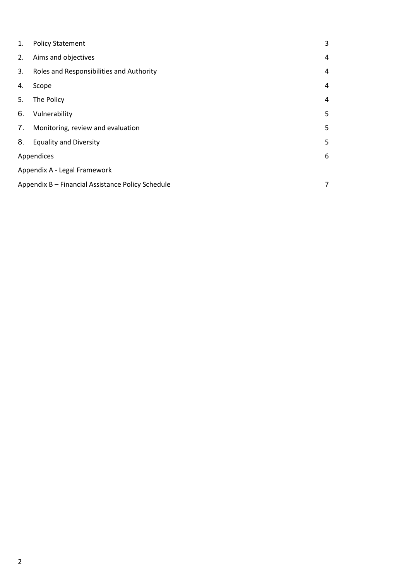| 1.                           | <b>Policy Statement</b>                                | 3 |
|------------------------------|--------------------------------------------------------|---|
| 2.                           | Aims and objectives                                    | 4 |
| 3.                           | Roles and Responsibilities and Authority               | 4 |
| 4.                           | Scope                                                  | 4 |
| 5.                           | The Policy                                             | 4 |
| 6.                           | Vulnerability                                          | 5 |
| 7.                           | Monitoring, review and evaluation                      | 5 |
| 8.                           | <b>Equality and Diversity</b>                          | 5 |
|                              | Appendices<br>6                                        |   |
| Appendix A - Legal Framework |                                                        |   |
|                              | Appendix B - Financial Assistance Policy Schedule<br>7 |   |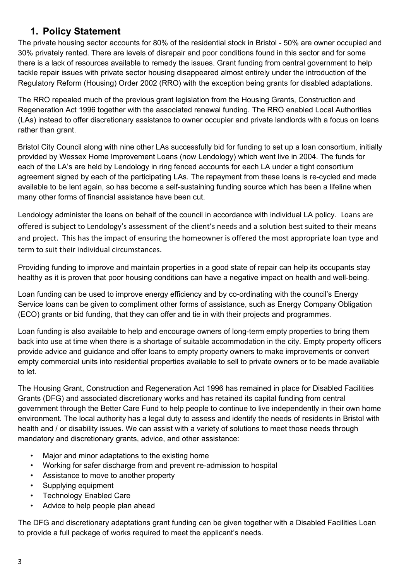## **1. Policy Statement**

<span id="page-2-0"></span>The private housing sector accounts for 80% of the residential stock in Bristol - 50% are owner occupied and 30% privately rented. There are levels of disrepair and poor conditions found in this sector and for some there is a lack of resources available to remedy the issues. Grant funding from central government to help tackle repair issues with private sector housing disappeared almost entirely under the introduction of the Regulatory Reform (Housing) Order 2002 (RRO) with the exception being grants for disabled adaptations.

The RRO repealed much of the previous grant legislation from the Housing Grants, Construction and Regeneration Act 1996 together with the associated renewal funding. The RRO enabled Local Authorities (LAs) instead to offer discretionary assistance to owner occupier and private landlords with a focus on loans rather than grant.

Bristol City Council along with nine other LAs successfully bid for funding to set up a loan consortium, initially provided by Wessex Home Improvement Loans (now Lendology) which went live in 2004. The funds for each of the LA's are held by Lendology in ring fenced accounts for each LA under a tight consortium agreement signed by each of the participating LAs. The repayment from these loans is re-cycled and made available to be lent again, so has become a self-sustaining funding source which has been a lifeline when many other forms of financial assistance have been cut.

Lendology administer the loans on behalf of the council in accordance with individual LA policy. Loans are offered is subject to Lendology's assessment of the client's needs and a solution best suited to their means and project. This has the impact of ensuring the homeowner is offered the most appropriate loan type and term to suit their individual circumstances.

Providing funding to improve and maintain properties in a good state of repair can help its occupants stay healthy as it is proven that poor housing conditions can have a negative impact on health and well-being.

Loan funding can be used to improve energy efficiency and by co-ordinating with the council's Energy Service loans can be given to compliment other forms of assistance, such as Energy Company Obligation (ECO) grants or bid funding, that they can offer and tie in with their projects and programmes.

Loan funding is also available to help and encourage owners of long-term empty properties to bring them back into use at time when there is a shortage of suitable accommodation in the city. Empty property officers provide advice and guidance and offer loans to empty property owners to make improvements or convert empty commercial units into residential properties available to sell to private owners or to be made available to let.

The Housing Grant, Construction and Regeneration Act 1996 has remained in place for Disabled Facilities Grants (DFG) and associated discretionary works and has retained its capital funding from central government through the Better Care Fund to help people to continue to live independently in their own home environment. The local authority has a legal duty to assess and identify the needs of residents in Bristol with health and / or disability issues. We can assist with a variety of solutions to meet those needs through mandatory and discretionary grants, advice, and other assistance:

- Major and minor adaptations to the existing home
- Working for safer discharge from and prevent re-admission to hospital
- Assistance to move to another property
- Supplying equipment
- **Technology Enabled Care**
- Advice to help people plan ahead

The DFG and discretionary adaptations grant funding can be given together with a Disabled Facilities Loan to provide a full package of works required to meet the applicant's needs.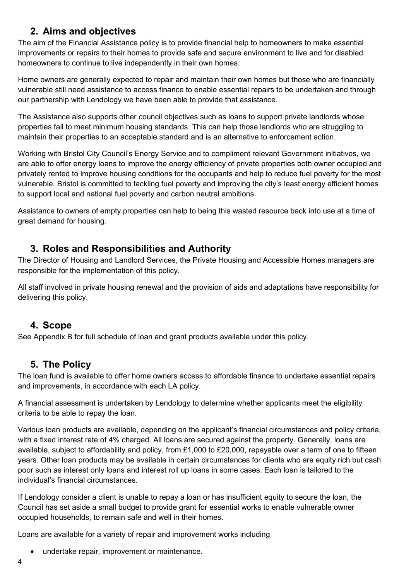## **2. Aims and objectives**

<span id="page-3-0"></span>The aim of the Financial Assistance policy is to provide financial help to homeowners to make essential improvements or repairs to their homes to provide safe and secure environment to live and for disabled homeowners to continue to live independently in their own homes.

Home owners are generally expected to repair and maintain their own homes but those who are financially vulnerable still need assistance to access finance to enable essential repairs to be undertaken and through our partnership with Lendology we have been able to provide that assistance.

The Assistance also supports other council objectives such as loans to support private landlords whose properties fail to meet minimum housing standards. This can help those landlords who are struggling to maintain their properties to an acceptable standard and is an alternative to enforcement action.

Working with Bristol City Council's Energy Service and to compliment relevant Government initiatives, we are able to offer energy loans to improve the energy efficiency of private properties both owner occupied and privately rented to improve housing conditions for the occupants and help to reduce fuel poverty for the most vulnerable. Bristol is committed to tackling fuel poverty and improving the city's least energy efficient homes to support local and national fuel poverty and carbon neutral ambitions.

Assistance to owners of empty properties can help to being this wasted resource back into use at a time of great demand for housing.

## <span id="page-3-1"></span>**3. Roles and Responsibilities and Authority**

The Director of Housing and Landlord Services, the Private Housing and Accessible Homes managers are responsible for the implementation of this policy.

All staff involved in private housing renewal and the provision of aids and adaptations have responsibility for delivering this policy.

## <span id="page-3-2"></span>**4. Scope**

See Appendix B for full schedule of loan and grant products available under this policy.

## <span id="page-3-3"></span>**5. The Policy**

The loan fund is available to offer home owners access to affordable finance to undertake essential repairs and improvements, in accordance with each LA policy.

A financial assessment is undertaken by Lendology to determine whether applicants meet the eligibility criteria to be able to repay the loan.

Various loan products are available, depending on the applicant's financial circumstances and policy criteria, with a fixed interest rate of 4% charged. All loans are secured against the property. Generally, loans are available, subject to affordability and policy, from £1,000 to £20,000, repayable over a term of one to fifteen years. Other loan products may be available in certain circumstances for clients who are equity rich but cash poor such as interest only loans and interest roll up loans in some cases. Each loan is tailored to the individual's financial circumstances.

If Lendology consider a client is unable to repay a loan or has insufficient equity to secure the loan, the Council has set aside a small budget to provide grant for essential works to enable vulnerable owner occupied households, to remain safe and well in their homes.

Loans are available for a variety of repair and improvement works including

• undertake repair, improvement or maintenance.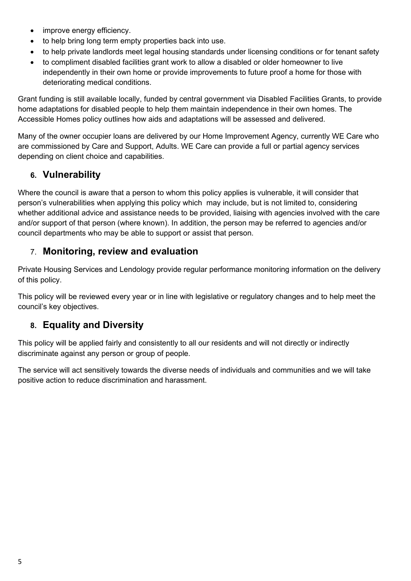- improve energy efficiency.
- to help bring long term empty properties back into use.
- to help private landlords meet legal housing standards under licensing conditions or for tenant safety
- to compliment disabled facilities grant work to allow a disabled or older homeowner to live independently in their own home or provide improvements to future proof a home for those with deteriorating medical conditions.

Grant funding is still available locally, funded by central government via Disabled Facilities Grants, to provide home adaptations for disabled people to help them maintain independence in their own homes. The Accessible Homes policy outlines how aids and adaptations will be assessed and delivered.

Many of the owner occupier loans are delivered by our Home Improvement Agency, currently WE Care who are commissioned by Care and Support, Adults. WE Care can provide a full or partial agency services depending on client choice and capabilities.

# <span id="page-4-0"></span>**6. Vulnerability**

Where the council is aware that a person to whom this policy applies is vulnerable, it will consider that person's vulnerabilities when applying this policy which may include, but is not limited to, considering whether additional advice and assistance needs to be provided, liaising with agencies involved with the care and/or support of that person (where known). In addition, the person may be referred to agencies and/or council departments who may be able to support or assist that person.

## <span id="page-4-1"></span>7. **Monitoring, review and evaluation**

Private Housing Services and Lendology provide regular performance monitoring information on the delivery of this policy.

This policy will be reviewed every year or in line with legislative or regulatory changes and to help meet the council's key objectives.

# <span id="page-4-2"></span>**8. Equality and Diversity**

This policy will be applied fairly and consistently to all our residents and will not directly or indirectly discriminate against any person or group of people.

The service will act sensitively towards the diverse needs of individuals and communities and we will take positive action to reduce discrimination and harassment.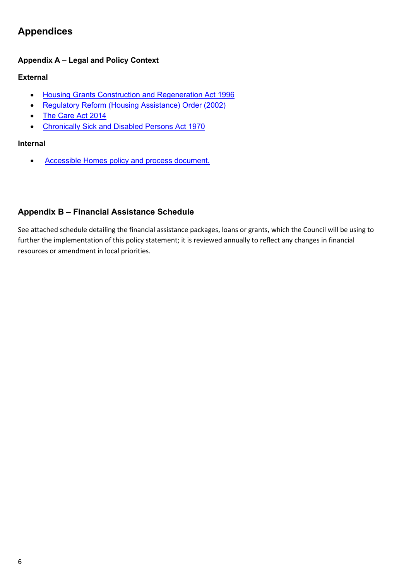# <span id="page-5-0"></span>**Appendices**

### **Appendix A – Legal and Policy Context**

#### **External**

- [Housing Grants Construction and Regeneration Act 1996](https://www.legislation.gov.uk/ukpga/1996/53/section/110)
- [Regulatory Reform \(Housing Assistance\) Order \(2002\)](https://www.legislation.gov.uk/uksi/2002/1860/contents/made)
- [The Care Act 2014](https://www.legislation.gov.uk/ukpga/2014/23/contents/enacted)
- [Chronically Sick and Disabled Persons Act 1970](https://www.legislation.gov.uk/ukpga/1970/44)

#### **Internal**

• [Accessible Homes policy and process document.](https://www.bristol.gov.uk/documents/20182/0/Accessible_Homes_Policy.pdf)

## <span id="page-5-1"></span>**Appendix B – Financial Assistance Schedule**

See attached schedule detailing the financial assistance packages, loans or grants, which the Council will be using to further the implementation of this policy statement; it is reviewed annually to reflect any changes in financial resources or amendment in local priorities.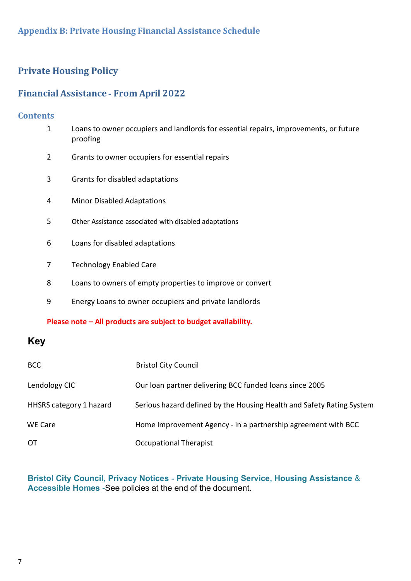## **Appendix B: Private Housing Financial Assistance Schedule**

## **Private Housing Policy**

# **FinancialAssistance** ‐ **From April 2022**

## **Contents**

| $\mathbf 1$    | Loans to owner occupiers and landlords for essential repairs, improvements, or future<br>proofing |
|----------------|---------------------------------------------------------------------------------------------------|
| $\overline{2}$ | Grants to owner occupiers for essential repairs                                                   |
| 3              | Grants for disabled adaptations                                                                   |
| 4              | <b>Minor Disabled Adaptations</b>                                                                 |
| 5              | Other Assistance associated with disabled adaptations                                             |
| 6              | Loans for disabled adaptations                                                                    |
| 7              | <b>Technology Enabled Care</b>                                                                    |
| 8              | Loans to owners of empty properties to improve or convert                                         |
| 9              | Energy Loans to owner occupiers and private landlords                                             |

## **Please note – All products are subject to budget availability.**

# **Key**

| <b>BCC</b>              | <b>Bristol City Council</b>                                           |
|-------------------------|-----------------------------------------------------------------------|
| Lendology CIC           | Our loan partner delivering BCC funded loans since 2005               |
| HHSRS category 1 hazard | Serious hazard defined by the Housing Health and Safety Rating System |
| <b>WE Care</b>          | Home Improvement Agency - in a partnership agreement with BCC         |
| <b>OT</b>               | Occupational Therapist                                                |

**Bristol City Council, Privacy Notices** ‐ **Private Housing Service, Housing Assistance** & **Accessible Homes** -See policies at the end of the document.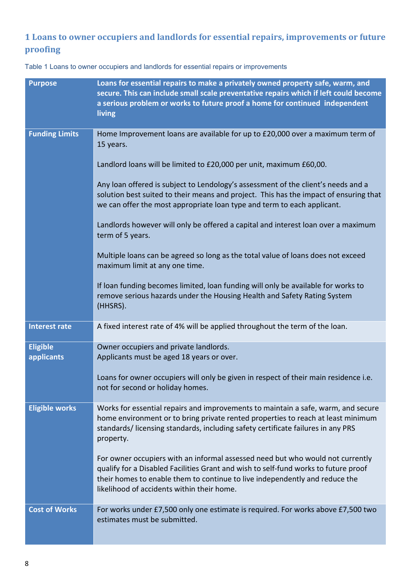# **1 Loans to owner occupiers and landlords for essential repairs, improvements or future proofing**

| <b>Purpose</b>                | Loans for essential repairs to make a privately owned property safe, warm, and<br>secure. This can include small scale preventative repairs which if left could become<br>a serious problem or works to future proof a home for continued independent<br>living                                    |
|-------------------------------|----------------------------------------------------------------------------------------------------------------------------------------------------------------------------------------------------------------------------------------------------------------------------------------------------|
| <b>Funding Limits</b>         | Home Improvement loans are available for up to £20,000 over a maximum term of<br>15 years.                                                                                                                                                                                                         |
|                               | Landlord loans will be limited to £20,000 per unit, maximum £60,00.                                                                                                                                                                                                                                |
|                               | Any loan offered is subject to Lendology's assessment of the client's needs and a<br>solution best suited to their means and project. This has the impact of ensuring that<br>we can offer the most appropriate loan type and term to each applicant.                                              |
|                               | Landlords however will only be offered a capital and interest loan over a maximum<br>term of 5 years.                                                                                                                                                                                              |
|                               | Multiple loans can be agreed so long as the total value of loans does not exceed<br>maximum limit at any one time.                                                                                                                                                                                 |
|                               | If loan funding becomes limited, loan funding will only be available for works to<br>remove serious hazards under the Housing Health and Safety Rating System<br>(HHSRS).                                                                                                                          |
| <b>Interest rate</b>          | A fixed interest rate of 4% will be applied throughout the term of the loan.                                                                                                                                                                                                                       |
| <b>Eligible</b><br>applicants | Owner occupiers and private landlords.<br>Applicants must be aged 18 years or over.                                                                                                                                                                                                                |
|                               | Loans for owner occupiers will only be given in respect of their main residence i.e.<br>not for second or holiday homes.                                                                                                                                                                           |
| <b>Eligible works</b>         | Works for essential repairs and improvements to maintain a safe, warm, and secure<br>home environment or to bring private rented properties to reach at least minimum<br>standards/licensing standards, including safety certificate failures in any PRS<br>property.                              |
|                               | For owner occupiers with an informal assessed need but who would not currently<br>qualify for a Disabled Facilities Grant and wish to self-fund works to future proof<br>their homes to enable them to continue to live independently and reduce the<br>likelihood of accidents within their home. |
| <b>Cost of Works</b>          | For works under £7,500 only one estimate is required. For works above £7,500 two<br>estimates must be submitted.                                                                                                                                                                                   |

Table 1 Loans to owner occupiers and landlords for essential repairs or improvements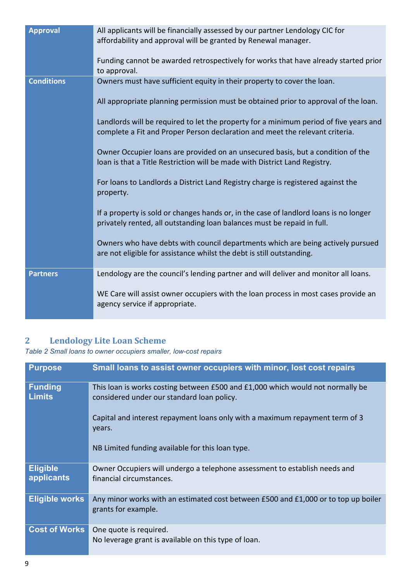| <b>Approval</b>   | All applicants will be financially assessed by our partner Lendology CIC for<br>affordability and approval will be granted by Renewal manager.                        |
|-------------------|-----------------------------------------------------------------------------------------------------------------------------------------------------------------------|
|                   | Funding cannot be awarded retrospectively for works that have already started prior<br>to approval.                                                                   |
| <b>Conditions</b> | Owners must have sufficient equity in their property to cover the loan.                                                                                               |
|                   | All appropriate planning permission must be obtained prior to approval of the loan.                                                                                   |
|                   | Landlords will be required to let the property for a minimum period of five years and<br>complete a Fit and Proper Person declaration and meet the relevant criteria. |
|                   | Owner Occupier loans are provided on an unsecured basis, but a condition of the<br>loan is that a Title Restriction will be made with District Land Registry.         |
|                   | For loans to Landlords a District Land Registry charge is registered against the<br>property.                                                                         |
|                   | If a property is sold or changes hands or, in the case of landlord loans is no longer<br>privately rented, all outstanding loan balances must be repaid in full.      |
|                   | Owners who have debts with council departments which are being actively pursued<br>are not eligible for assistance whilst the debt is still outstanding.              |
| <b>Partners</b>   | Lendology are the council's lending partner and will deliver and monitor all loans.                                                                                   |
|                   | WE Care will assist owner occupiers with the loan process in most cases provide an<br>agency service if appropriate.                                                  |

## **2 Lendology Lite Loan Scheme**

*Table 2 Small loans to owner occupiers smaller, low-cost repairs*

| <b>Purpose</b>                  | Small loans to assist owner occupiers with minor, lost cost repairs                                                          |
|---------------------------------|------------------------------------------------------------------------------------------------------------------------------|
| <b>Funding</b><br><b>Limits</b> | This loan is works costing between £500 and £1,000 which would not normally be<br>considered under our standard loan policy. |
|                                 | Capital and interest repayment loans only with a maximum repayment term of 3<br>years.                                       |
|                                 | NB Limited funding available for this loan type.                                                                             |
| <b>Eligible</b><br>applicants   | Owner Occupiers will undergo a telephone assessment to establish needs and<br>financial circumstances.                       |
| <b>Eligible works</b>           | Any minor works with an estimated cost between £500 and £1,000 or to top up boiler<br>grants for example.                    |
| <b>Cost of Works</b>            | One quote is required.<br>No leverage grant is available on this type of loan.                                               |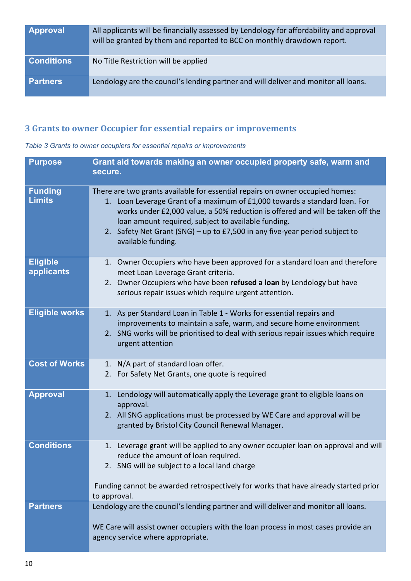| <b>Approval</b>   | All applicants will be financially assessed by Lendology for affordability and approval<br>will be granted by them and reported to BCC on monthly drawdown report. |
|-------------------|--------------------------------------------------------------------------------------------------------------------------------------------------------------------|
| <b>Conditions</b> | No Title Restriction will be applied                                                                                                                               |
| <b>Partners</b>   | Lendology are the council's lending partner and will deliver and monitor all loans.                                                                                |

# **3 Grants to owner Occupier for essential repairs or improvements**

#### *Table 3 Grants to owner occupiers for essential repairs or improvements*

| <b>Purpose</b>                  | Grant aid towards making an owner occupied property safe, warm and<br>secure.                                                                                                                                                                                                                                                                                                                             |
|---------------------------------|-----------------------------------------------------------------------------------------------------------------------------------------------------------------------------------------------------------------------------------------------------------------------------------------------------------------------------------------------------------------------------------------------------------|
| <b>Funding</b><br><b>Limits</b> | There are two grants available for essential repairs on owner occupied homes:<br>1. Loan Leverage Grant of a maximum of £1,000 towards a standard loan. For<br>works under £2,000 value, a 50% reduction is offered and will be taken off the<br>loan amount required, subject to available funding.<br>2. Safety Net Grant (SNG) - up to £7,500 in any five-year period subject to<br>available funding. |
| <b>Eligible</b><br>applicants   | 1. Owner Occupiers who have been approved for a standard loan and therefore<br>meet Loan Leverage Grant criteria.<br>2. Owner Occupiers who have been refused a loan by Lendology but have<br>serious repair issues which require urgent attention.                                                                                                                                                       |
| <b>Eligible works</b>           | 1. As per Standard Loan in Table 1 - Works for essential repairs and<br>improvements to maintain a safe, warm, and secure home environment<br>2. SNG works will be prioritised to deal with serious repair issues which require<br>urgent attention                                                                                                                                                       |
| <b>Cost of Works</b>            | 1. N/A part of standard loan offer.<br>2. For Safety Net Grants, one quote is required                                                                                                                                                                                                                                                                                                                    |
| <b>Approval</b>                 | 1. Lendology will automatically apply the Leverage grant to eligible loans on<br>approval.<br>2. All SNG applications must be processed by WE Care and approval will be<br>granted by Bristol City Council Renewal Manager.                                                                                                                                                                               |
| <b>Conditions</b>               | 1. Leverage grant will be applied to any owner occupier loan on approval and will<br>reduce the amount of loan required.<br>2. SNG will be subject to a local land charge<br>Funding cannot be awarded retrospectively for works that have already started prior                                                                                                                                          |
|                                 | to approval.                                                                                                                                                                                                                                                                                                                                                                                              |
| <b>Partners</b>                 | Lendology are the council's lending partner and will deliver and monitor all loans.<br>WE Care will assist owner occupiers with the loan process in most cases provide an<br>agency service where appropriate.                                                                                                                                                                                            |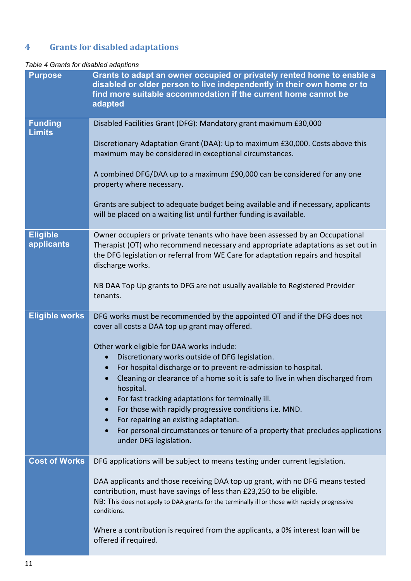# **4 Grants for disabled adaptations**

#### *Table 4 Grants for disabled adaptions*

| <b>Purpose</b>                  | Grants to adapt an owner occupied or privately rented home to enable a<br>disabled or older person to live independently in their own home or to<br>find more suitable accommodation if the current home cannot be<br>adapted                                            |
|---------------------------------|--------------------------------------------------------------------------------------------------------------------------------------------------------------------------------------------------------------------------------------------------------------------------|
| <b>Funding</b><br><b>Limits</b> | Disabled Facilities Grant (DFG): Mandatory grant maximum £30,000                                                                                                                                                                                                         |
|                                 | Discretionary Adaptation Grant (DAA): Up to maximum £30,000. Costs above this<br>maximum may be considered in exceptional circumstances.                                                                                                                                 |
|                                 | A combined DFG/DAA up to a maximum £90,000 can be considered for any one<br>property where necessary.                                                                                                                                                                    |
|                                 | Grants are subject to adequate budget being available and if necessary, applicants<br>will be placed on a waiting list until further funding is available.                                                                                                               |
| <b>Eligible</b><br>applicants   | Owner occupiers or private tenants who have been assessed by an Occupational<br>Therapist (OT) who recommend necessary and appropriate adaptations as set out in<br>the DFG legislation or referral from WE Care for adaptation repairs and hospital<br>discharge works. |
|                                 | NB DAA Top Up grants to DFG are not usually available to Registered Provider<br>tenants.                                                                                                                                                                                 |
| <b>Eligible works</b>           | DFG works must be recommended by the appointed OT and if the DFG does not<br>cover all costs a DAA top up grant may offered.                                                                                                                                             |
|                                 | Other work eligible for DAA works include:                                                                                                                                                                                                                               |
|                                 | Discretionary works outside of DFG legislation.                                                                                                                                                                                                                          |
|                                 | For hospital discharge or to prevent re-admission to hospital.<br>Cleaning or clearance of a home so it is safe to live in when discharged from<br>hospital.                                                                                                             |
|                                 | For fast tracking adaptations for terminally ill.<br>$\bullet$                                                                                                                                                                                                           |
|                                 | For those with rapidly progressive conditions i.e. MND.<br>$\bullet$                                                                                                                                                                                                     |
|                                 | For repairing an existing adaptation.<br>$\bullet$<br>For personal circumstances or tenure of a property that precludes applications<br>$\bullet$<br>under DFG legislation.                                                                                              |
| <b>Cost of Works</b>            | DFG applications will be subject to means testing under current legislation.                                                                                                                                                                                             |
|                                 | DAA applicants and those receiving DAA top up grant, with no DFG means tested<br>contribution, must have savings of less than £23,250 to be eligible.<br>NB: This does not apply to DAA grants for the terminally ill or those with rapidly progressive<br>conditions.   |
|                                 | Where a contribution is required from the applicants, a 0% interest loan will be<br>offered if required.                                                                                                                                                                 |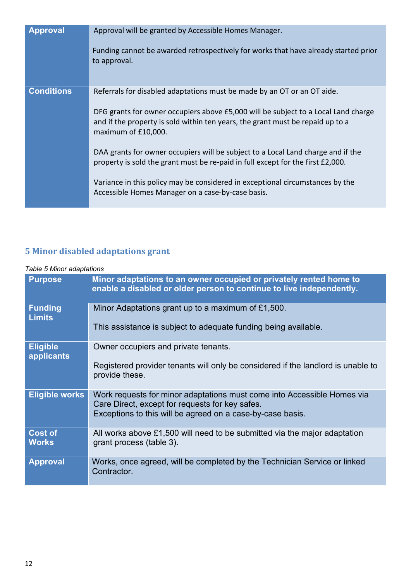| <b>Approval</b>   | Approval will be granted by Accessible Homes Manager.<br>Funding cannot be awarded retrospectively for works that have already started prior                                                |
|-------------------|---------------------------------------------------------------------------------------------------------------------------------------------------------------------------------------------|
|                   | to approval.                                                                                                                                                                                |
| <b>Conditions</b> | Referrals for disabled adaptations must be made by an OT or an OT aide.                                                                                                                     |
|                   | DFG grants for owner occupiers above £5,000 will be subject to a Local Land charge<br>and if the property is sold within ten years, the grant must be repaid up to a<br>maximum of £10,000. |
|                   | DAA grants for owner occupiers will be subject to a Local Land charge and if the<br>property is sold the grant must be re-paid in full except for the first £2,000.                         |
|                   | Variance in this policy may be considered in exceptional circumstances by the<br>Accessible Homes Manager on a case-by-case basis.                                                          |

# **5 Minor disabled adaptations grant**

#### *Table 5 Minor adaptations*

| <b>Purpose</b>                  | Minor adaptations to an owner occupied or privately rented home to<br>enable a disabled or older person to continue to live independently.                                               |
|---------------------------------|------------------------------------------------------------------------------------------------------------------------------------------------------------------------------------------|
| <b>Funding</b><br><b>Limits</b> | Minor Adaptations grant up to a maximum of £1,500.<br>This assistance is subject to adequate funding being available.                                                                    |
|                                 |                                                                                                                                                                                          |
| <b>Eligible</b><br>applicants   | Owner occupiers and private tenants.                                                                                                                                                     |
|                                 | Registered provider tenants will only be considered if the landlord is unable to<br>provide these.                                                                                       |
| <b>Eligible works</b>           | Work requests for minor adaptations must come into Accessible Homes via<br>Care Direct, except for requests for key safes.<br>Exceptions to this will be agreed on a case-by-case basis. |
| <b>Cost of</b><br><b>Works</b>  | All works above $£1,500$ will need to be submitted via the major adaptation<br>grant process (table 3).                                                                                  |
| <b>Approval</b>                 | Works, once agreed, will be completed by the Technician Service or linked<br>Contractor.                                                                                                 |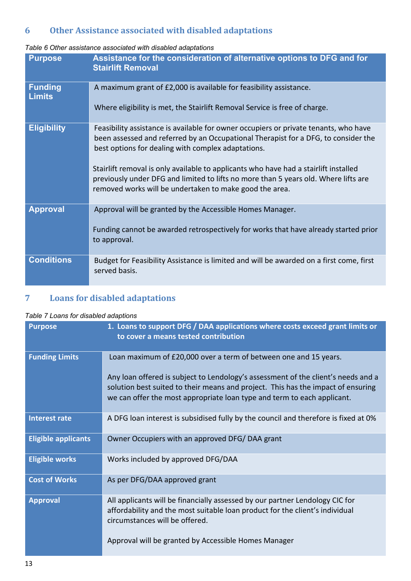# **6 Other Assistance associated with disabled adaptations**

#### *Table 6 Other assistance associated with disabled adaptations*

| <b>Purpose</b>                  | Assistance for the consideration of alternative options to DFG and for<br><b>Stairlift Removal</b>                                                                                                                                                                                                                                                                                                                                                                         |
|---------------------------------|----------------------------------------------------------------------------------------------------------------------------------------------------------------------------------------------------------------------------------------------------------------------------------------------------------------------------------------------------------------------------------------------------------------------------------------------------------------------------|
| <b>Funding</b><br><b>Limits</b> | A maximum grant of £2,000 is available for feasibility assistance.<br>Where eligibility is met, the Stairlift Removal Service is free of charge.                                                                                                                                                                                                                                                                                                                           |
| <b>Eligibility</b>              | Feasibility assistance is available for owner occupiers or private tenants, who have<br>been assessed and referred by an Occupational Therapist for a DFG, to consider the<br>best options for dealing with complex adaptations.<br>Stairlift removal is only available to applicants who have had a stairlift installed<br>previously under DFG and limited to lifts no more than 5 years old. Where lifts are<br>removed works will be undertaken to make good the area. |
| <b>Approval</b>                 | Approval will be granted by the Accessible Homes Manager.<br>Funding cannot be awarded retrospectively for works that have already started prior<br>to approval.                                                                                                                                                                                                                                                                                                           |
| <b>Conditions</b>               | Budget for Feasibility Assistance is limited and will be awarded on a first come, first<br>served basis.                                                                                                                                                                                                                                                                                                                                                                   |

## **7 Loans for disabled adaptations**

#### *Table 7 Loans for disabled adaptions*

| <b>Purpose</b>             | 1. Loans to support DFG / DAA applications where costs exceed grant limits or<br>to cover a means tested contribution                                                                                                                                  |
|----------------------------|--------------------------------------------------------------------------------------------------------------------------------------------------------------------------------------------------------------------------------------------------------|
| <b>Funding Limits</b>      | Loan maximum of £20,000 over a term of between one and 15 years.                                                                                                                                                                                       |
|                            | Any loan offered is subject to Lendology's assessment of the client's needs and a<br>solution best suited to their means and project. This has the impact of ensuring<br>we can offer the most appropriate loan type and term to each applicant.       |
| <b>Interest rate</b>       | A DFG loan interest is subsidised fully by the council and therefore is fixed at 0%                                                                                                                                                                    |
| <b>Eligible applicants</b> | Owner Occupiers with an approved DFG/DAA grant                                                                                                                                                                                                         |
| <b>Eligible works</b>      | Works included by approved DFG/DAA                                                                                                                                                                                                                     |
| <b>Cost of Works</b>       | As per DFG/DAA approved grant                                                                                                                                                                                                                          |
| <b>Approval</b>            | All applicants will be financially assessed by our partner Lendology CIC for<br>affordability and the most suitable loan product for the client's individual<br>circumstances will be offered.<br>Approval will be granted by Accessible Homes Manager |
|                            |                                                                                                                                                                                                                                                        |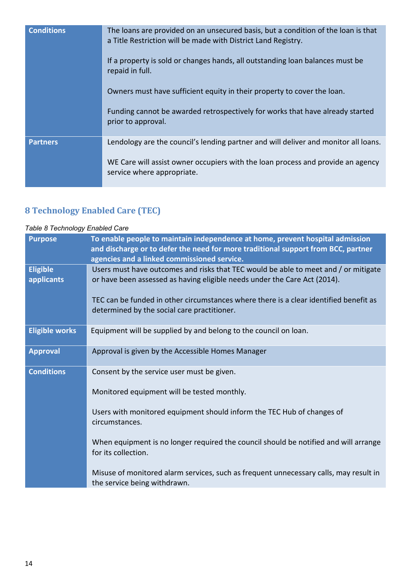| <b>Conditions</b> | The loans are provided on an unsecured basis, but a condition of the loan is that<br>a Title Restriction will be made with District Land Registry.<br>If a property is sold or changes hands, all outstanding loan balances must be<br>repaid in full.<br>Owners must have sufficient equity in their property to cover the loan.<br>Funding cannot be awarded retrospectively for works that have already started<br>prior to approval. |
|-------------------|------------------------------------------------------------------------------------------------------------------------------------------------------------------------------------------------------------------------------------------------------------------------------------------------------------------------------------------------------------------------------------------------------------------------------------------|
| <b>Partners</b>   | Lendology are the council's lending partner and will deliver and monitor all loans.<br>WE Care will assist owner occupiers with the loan process and provide an agency<br>service where appropriate.                                                                                                                                                                                                                                     |

# **8 Technology Enabled Care (TEC)**

#### *Table 8 Technology Enabled Care*

| <b>Purpose</b>                | To enable people to maintain independence at home, prevent hospital admission<br>and discharge or to defer the need for more traditional support from BCC, partner<br>agencies and a linked commissioned service. |
|-------------------------------|-------------------------------------------------------------------------------------------------------------------------------------------------------------------------------------------------------------------|
| <b>Eligible</b><br>applicants | Users must have outcomes and risks that TEC would be able to meet and / or mitigate<br>or have been assessed as having eligible needs under the Care Act (2014).                                                  |
|                               | TEC can be funded in other circumstances where there is a clear identified benefit as<br>determined by the social care practitioner.                                                                              |
| <b>Eligible works</b>         | Equipment will be supplied by and belong to the council on loan.                                                                                                                                                  |
| <b>Approval</b>               | Approval is given by the Accessible Homes Manager                                                                                                                                                                 |
| <b>Conditions</b>             | Consent by the service user must be given.                                                                                                                                                                        |
|                               | Monitored equipment will be tested monthly.                                                                                                                                                                       |
|                               | Users with monitored equipment should inform the TEC Hub of changes of<br>circumstances.                                                                                                                          |
|                               | When equipment is no longer required the council should be notified and will arrange<br>for its collection.                                                                                                       |
|                               | Misuse of monitored alarm services, such as frequent unnecessary calls, may result in<br>the service being withdrawn.                                                                                             |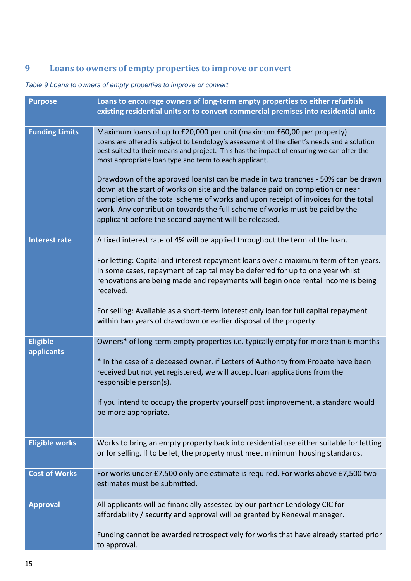# **9 Loans to owners of empty properties to improve or convert**

## *Table 9 Loans to owners of empty properties to improve or convert*

| <b>Purpose</b>                | Loans to encourage owners of long-term empty properties to either refurbish<br>existing residential units or to convert commercial premises into residential units                                                                                                                                                                                                                             |
|-------------------------------|------------------------------------------------------------------------------------------------------------------------------------------------------------------------------------------------------------------------------------------------------------------------------------------------------------------------------------------------------------------------------------------------|
| <b>Funding Limits</b>         | Maximum loans of up to £20,000 per unit (maximum £60,00 per property)<br>Loans are offered is subject to Lendology's assessment of the client's needs and a solution<br>best suited to their means and project. This has the impact of ensuring we can offer the<br>most appropriate loan type and term to each applicant.                                                                     |
|                               | Drawdown of the approved loan(s) can be made in two tranches - 50% can be drawn<br>down at the start of works on site and the balance paid on completion or near<br>completion of the total scheme of works and upon receipt of invoices for the total<br>work. Any contribution towards the full scheme of works must be paid by the<br>applicant before the second payment will be released. |
| <b>Interest rate</b>          | A fixed interest rate of 4% will be applied throughout the term of the loan.                                                                                                                                                                                                                                                                                                                   |
|                               | For letting: Capital and interest repayment loans over a maximum term of ten years.<br>In some cases, repayment of capital may be deferred for up to one year whilst<br>renovations are being made and repayments will begin once rental income is being<br>received.                                                                                                                          |
|                               | For selling: Available as a short-term interest only loan for full capital repayment<br>within two years of drawdown or earlier disposal of the property.                                                                                                                                                                                                                                      |
| <b>Eligible</b><br>applicants | Owners* of long-term empty properties i.e. typically empty for more than 6 months                                                                                                                                                                                                                                                                                                              |
|                               | * In the case of a deceased owner, if Letters of Authority from Probate have been<br>received but not yet registered, we will accept loan applications from the<br>responsible person(s).                                                                                                                                                                                                      |
|                               | If you intend to occupy the property yourself post improvement, a standard would<br>be more appropriate.                                                                                                                                                                                                                                                                                       |
| <b>Eligible works</b>         | Works to bring an empty property back into residential use either suitable for letting<br>or for selling. If to be let, the property must meet minimum housing standards.                                                                                                                                                                                                                      |
| <b>Cost of Works</b>          | For works under £7,500 only one estimate is required. For works above £7,500 two<br>estimates must be submitted.                                                                                                                                                                                                                                                                               |
| <b>Approval</b>               | All applicants will be financially assessed by our partner Lendology CIC for<br>affordability / security and approval will be granted by Renewal manager.                                                                                                                                                                                                                                      |
|                               | Funding cannot be awarded retrospectively for works that have already started prior<br>to approval.                                                                                                                                                                                                                                                                                            |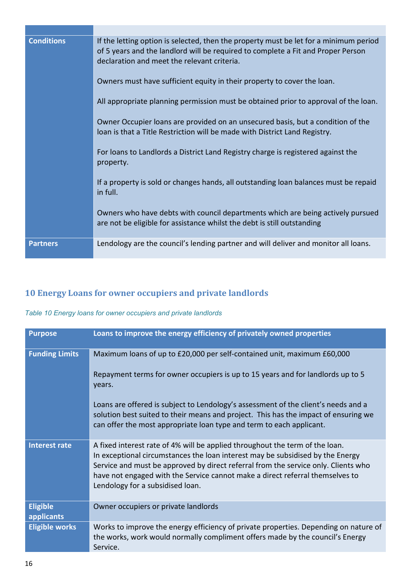| <b>Conditions</b> | If the letting option is selected, then the property must be let for a minimum period<br>of 5 years and the landlord will be required to complete a Fit and Proper Person<br>declaration and meet the relevant criteria.<br>Owners must have sufficient equity in their property to cover the loan.<br>All appropriate planning permission must be obtained prior to approval of the loan.<br>Owner Occupier loans are provided on an unsecured basis, but a condition of the<br>loan is that a Title Restriction will be made with District Land Registry.<br>For loans to Landlords a District Land Registry charge is registered against the<br>property.<br>If a property is sold or changes hands, all outstanding loan balances must be repaid |
|-------------------|------------------------------------------------------------------------------------------------------------------------------------------------------------------------------------------------------------------------------------------------------------------------------------------------------------------------------------------------------------------------------------------------------------------------------------------------------------------------------------------------------------------------------------------------------------------------------------------------------------------------------------------------------------------------------------------------------------------------------------------------------|
|                   | in full.<br>Owners who have debts with council departments which are being actively pursued<br>are not be eligible for assistance whilst the debt is still outstanding                                                                                                                                                                                                                                                                                                                                                                                                                                                                                                                                                                               |
| <b>Partners</b>   | Lendology are the council's lending partner and will deliver and monitor all loans.                                                                                                                                                                                                                                                                                                                                                                                                                                                                                                                                                                                                                                                                  |

# **10 Energy Loans for owner occupiers and private landlords**

#### *Table 10 Energy loans for owner occupiers and private landlords*

| <b>Purpose</b>                | Loans to improve the energy efficiency of privately owned properties                                                                                                                                                                                                                                                                                                      |
|-------------------------------|---------------------------------------------------------------------------------------------------------------------------------------------------------------------------------------------------------------------------------------------------------------------------------------------------------------------------------------------------------------------------|
| <b>Funding Limits</b>         | Maximum loans of up to £20,000 per self-contained unit, maximum £60,000<br>Repayment terms for owner occupiers is up to 15 years and for landlords up to 5                                                                                                                                                                                                                |
|                               | vears.                                                                                                                                                                                                                                                                                                                                                                    |
|                               | Loans are offered is subject to Lendology's assessment of the client's needs and a<br>solution best suited to their means and project. This has the impact of ensuring we<br>can offer the most appropriate loan type and term to each applicant.                                                                                                                         |
| <b>Interest rate</b>          | A fixed interest rate of 4% will be applied throughout the term of the loan.<br>In exceptional circumstances the loan interest may be subsidised by the Energy<br>Service and must be approved by direct referral from the service only. Clients who<br>have not engaged with the Service cannot make a direct referral themselves to<br>Lendology for a subsidised loan. |
| <b>Eligible</b><br>applicants | Owner occupiers or private landlords                                                                                                                                                                                                                                                                                                                                      |
| <b>Eligible works</b>         | Works to improve the energy efficiency of private properties. Depending on nature of<br>the works, work would normally compliment offers made by the council's Energy<br>Service.                                                                                                                                                                                         |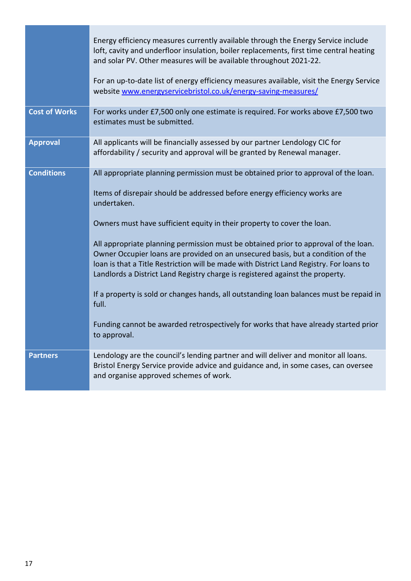|                      | Energy efficiency measures currently available through the Energy Service include<br>loft, cavity and underfloor insulation, boiler replacements, first time central heating<br>and solar PV. Other measures will be available throughout 2021-22.<br>For an up-to-date list of energy efficiency measures available, visit the Energy Service<br>website www.energyservicebristol.co.uk/energy-saving-measures/                                                                                                                                                                                                                                                                                                                                                                                                            |
|----------------------|-----------------------------------------------------------------------------------------------------------------------------------------------------------------------------------------------------------------------------------------------------------------------------------------------------------------------------------------------------------------------------------------------------------------------------------------------------------------------------------------------------------------------------------------------------------------------------------------------------------------------------------------------------------------------------------------------------------------------------------------------------------------------------------------------------------------------------|
| <b>Cost of Works</b> | For works under £7,500 only one estimate is required. For works above £7,500 two<br>estimates must be submitted.                                                                                                                                                                                                                                                                                                                                                                                                                                                                                                                                                                                                                                                                                                            |
| <b>Approval</b>      | All applicants will be financially assessed by our partner Lendology CIC for<br>affordability / security and approval will be granted by Renewal manager.                                                                                                                                                                                                                                                                                                                                                                                                                                                                                                                                                                                                                                                                   |
| <b>Conditions</b>    | All appropriate planning permission must be obtained prior to approval of the loan.<br>Items of disrepair should be addressed before energy efficiency works are<br>undertaken.<br>Owners must have sufficient equity in their property to cover the loan.<br>All appropriate planning permission must be obtained prior to approval of the loan.<br>Owner Occupier loans are provided on an unsecured basis, but a condition of the<br>loan is that a Title Restriction will be made with District Land Registry. For loans to<br>Landlords a District Land Registry charge is registered against the property.<br>If a property is sold or changes hands, all outstanding loan balances must be repaid in<br>full.<br>Funding cannot be awarded retrospectively for works that have already started prior<br>to approval. |
| <b>Partners</b>      | Lendology are the council's lending partner and will deliver and monitor all loans.<br>Bristol Energy Service provide advice and guidance and, in some cases, can oversee<br>and organise approved schemes of work.                                                                                                                                                                                                                                                                                                                                                                                                                                                                                                                                                                                                         |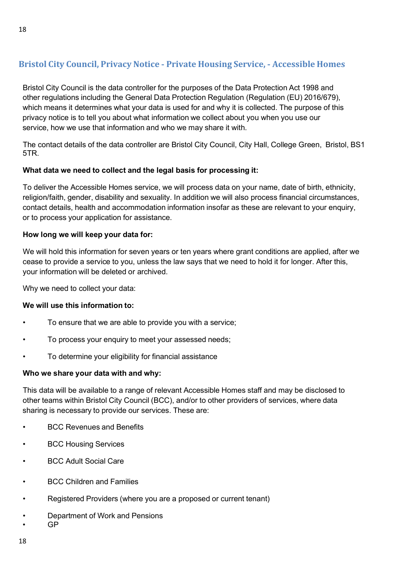## **Bristol City Council, Privacy Notice** ‐ **Private Housing Service,** ‐ **Accessible Homes**

Bristol City Council is the data controller for the purposes of the Data Protection Act 1998 and other regulations including the General Data Protection Regulation (Regulation (EU) 2016/679), which means it determines what your data is used for and why it is collected. The purpose of this privacy notice is to tell you about what information we collect about you when you use our service, how we use that information and who we may share it with.

The contact details of the data controller are Bristol City Council, City Hall, College Green, Bristol, BS1 5TR.

#### **What data we need to collect and the legal basis for processing it:**

To deliver the Accessible Homes service, we will process data on your name, date of birth, ethnicity, religion/faith, gender, disability and sexuality. In addition we will also process financial circumstances, contact details, health and accommodation information insofar as these are relevant to your enquiry, or to process your application for assistance.

#### **How long we will keep your data for:**

We will hold this information for seven years or ten years where grant conditions are applied, after we cease to provide a service to you, unless the law says that we need to hold it for longer. After this, your information will be deleted or archived.

Why we need to collect your data:

#### **We will use this information to:**

- To ensure that we are able to provide you with a service;
- To process your enquiry to meet your assessed needs;
- To determine your eligibility for financial assistance

#### **Who we share your data with and why:**

This data will be available to a range of relevant Accessible Homes staff and may be disclosed to other teams within Bristol City Council (BCC), and/or to other providers of services, where data sharing is necessary to provide our services. These are:

- BCC Revenues and Benefits
- BCC Housing Services
- BCC Adult Social Care
- **BCC Children and Families**
- Registered Providers (where you are a proposed or current tenant)
- Department of Work and Pensions
- GP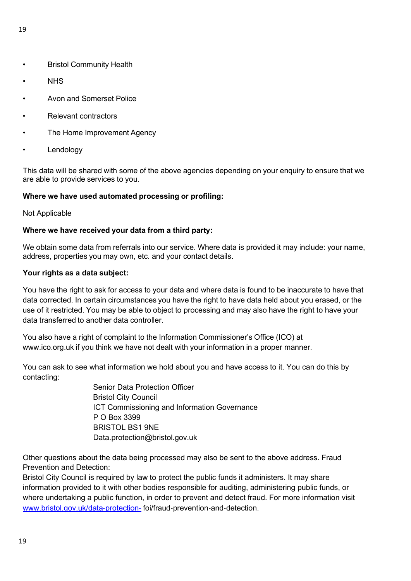- Bristol Community Health
- NHS
- Avon and Somerset Police
- Relevant contractors
- The Home Improvement Agency
- **Lendology**

This data will be shared with some of the above agencies depending on your enquiry to ensure that we are able to provide services to you.

#### **Where we have used automated processing or profiling:**

#### Not Applicable

#### **Where we have received your data from a third party:**

We obtain some data from referrals into our service. Where data is provided it may include: your name, address, properties you may own, etc. and your contact details.

#### **Your rights as a data subject:**

You have the right to ask for access to your data and where data is found to be inaccurate to have that data corrected. In certain circumstances you have the right to have data held about you erased, or the use of it restricted. You may be able to object to processing and may also have the right to have your data transferred to another data controller.

You also have a right of complaint to the Information Commissioner's Office (ICO) at [www.ico.org.uk i](http://www.ico.org.uk/)f you think we have not dealt with your information in a proper manner.

You can ask to see what information we hold about you and have access to it. You can do this by contacting:

> Senior Data Protection Officer Bristol City Council ICT Commissioning and Information Governance P O Box 3399 BRISTOL BS1 9NE Data.protection@bristol.gov.uk

Other questions about the data being processed may also be sent to the above address. Fraud Prevention and Detection:

Bristol City Council is required by law to protect the public funds it administers. It may share information provided to it with other bodies responsible for auditing, administering public funds, or where undertaking a public function, in order to prevent and detect fraud. For more information visit [www.bristol.gov.uk/data](http://www.bristol.gov.uk/data%E2%80%90protection%E2%80%90)-protection-foi/fraud-prevention-and-detection.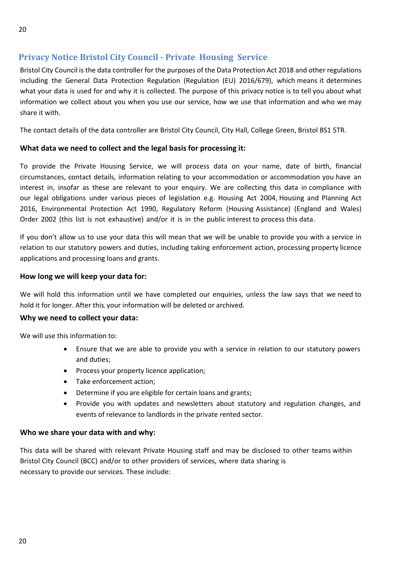## **Privacy Notice Bristol City Council - Private Housing Service**

Bristol City Council is the data controller for the purposes of the Data Protection Act 2018 and other regulations including the General Data Protection Regulation (Regulation (EU) 2016/679), which means it determines what your data is used for and why it is collected. The purpose of this privacy notice is to tell you about what information we collect about you when you use our service, how we use that information and who we may share it with.

The contact details of the data controller are Bristol City Council, City Hall, College Green, Bristol BS1 5TR.

#### **What data we need to collect and the legal basis for processing it:**

To provide the Private Housing Service, we will process data on your name, date of birth, financial circumstances, contact details, information relating to your accommodation or accommodation you have an interest in, insofar as these are relevant to your enquiry. We are collecting this data in compliance with our legal obligations under various pieces of legislation e.g. Housing Act 2004, Housing and Planning Act 2016, Environmental Protection Act 1990, Regulatory Reform (Housing Assistance) (England and Wales) Order 2002 (this list is not exhaustive) and/or it is in the public interest to process this data.

If you don't allow us to use your data this will mean that we will be unable to provide you with a service in relation to our statutory powers and duties, including taking enforcement action, processing property licence applications and processing loans and grants.

#### **How long we will keep your data for:**

We will hold this information until we have completed our enquiries, unless the law says that we need to hold it for longer. After this, your information will be deleted or archived.

#### **Why we need to collect your data:**

We will use this information to:

- Ensure that we are able to provide you with a service in relation to our statutory powers and duties;
- Process your property licence application;
- Take enforcement action;
- Determine if you are eligible for certain loans and grants;
- Provide you with updates and newsletters about statutory and regulation changes, and events of relevance to landlords in the private rented sector.

#### **Who we share your data with and why:**

This data will be shared with relevant Private Housing staff and may be disclosed to other teams within Bristol City Council (BCC) and/or to other providers of services, where data sharing is necessary to provide our services. These include: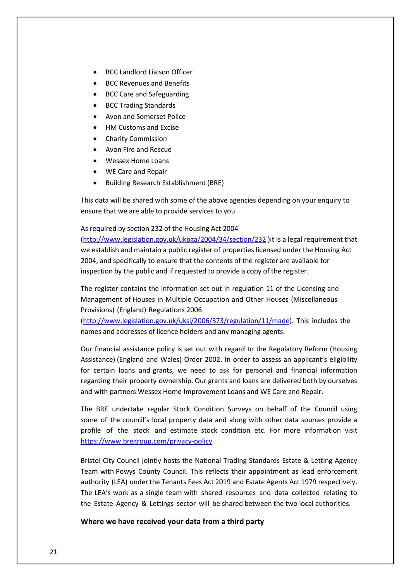- BCC Landlord Liaison Officer
- BCC Revenues and Benefits
- BCC Care and Safeguarding
- BCC Trading Standards
- Avon and Somerset Police
- HM Customs and Excise
- Charity Commission
- Avon Fire and Rescue
- Wessex Home Loans
- WE Care and Repair
- Building Research Establishment (BRE)

This data will be shared with some of the above agencies depending on your enquiry to ensure that we are able to provide services to you.

As required by section 232 of the Housing Act 2004

[\(http://www.legislation.gov.uk/ukpga/2004/34/section/232](http://www.legislation.gov.uk/ukpga/2004/34/section/232) )it is a legal requirement that we establish and maintain a public register of properties licensed under the Housing Act 2004, and specifically to ensure that the contents of the register are available for inspection by the public and if requested to provide a copy of the register.

The register contains the information set out in regulation 11 of the Licensing and Management of Houses in Multiple Occupation and Other Houses (Miscellaneous Provisions) (England) Regulations 2006

[\(http://www.legislation.gov.uk/uksi/2006/373/regulation/11/made\)](http://www.legislation.gov.uk/uksi/2006/373/regulation/11/made). This includes the names and addresses of licence holders and any managing agents.

Our financial assistance policy is set out with regard to the Regulatory Reform (Housing Assistance) (England and Wales) Order 2002. In order to assess an applicant's eligibility for certain loans and grants, we need to ask for personal and financial information regarding their property ownership. Our grants and loans are delivered both by ourselves and with partners Wessex Home Improvement Loans and WE Care and Repair.

The BRE undertake regular Stock Condition Surveys on behalf of the Council using some of the council's local property data and along with other data sources provide a profile of the stock and estimate stock condition etc. For more information visit <https://www.bregroup.com/privacy-policy>

Bristol City Council jointly hosts the National Trading Standards Estate & Letting Agency Team with Powys County Council. This reflects their appointment as lead enforcement authority (LEA) under the Tenants Fees Act 2019 and Estate Agents Act 1979 respectively. The LEA's work as a single team with shared resources and data collected relating to the Estate Agency & Lettings sector will be shared between the two local authorities.

**Where we have received your data from a third party**